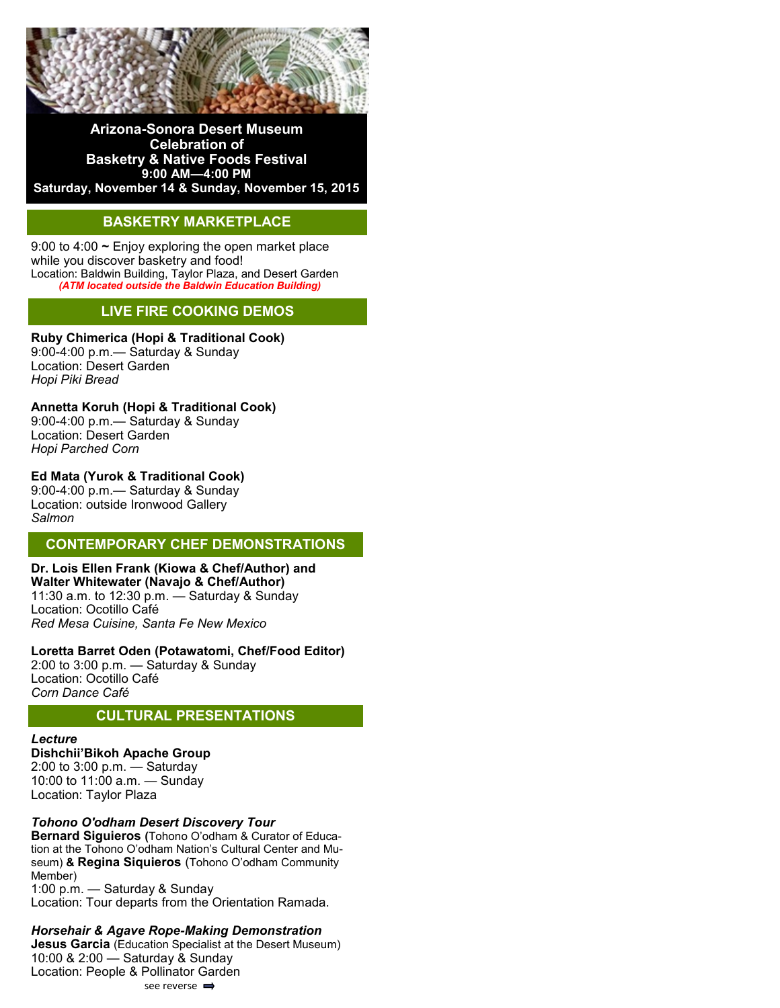

**Arizona-Sonora Desert Museum Celebration of Basketry & Native Foods Festival 9:00 AM—4:00 PM Saturday, November 14 & Sunday, November 15, 2015**

# **BASKETRY MARKETPLACE**

9:00 to 4:00 **~** Enjoy exploring the open market place while you discover basketry and food! Location: Baldwin Building, Taylor Plaza, and Desert Garden *(ATM located outside the Baldwin Education Building)*

## **LIVE FIRE COOKING DEMOS**

**Ruby Chimerica (Hopi & Traditional Cook)**  9:00-4:00 p.m.— Saturday & Sunday

Location: Desert Garden *Hopi Piki Bread* 

**Annetta Koruh (Hopi & Traditional Cook)** 

9:00-4:00 p.m.— Saturday & Sunday Location: Desert Garden *Hopi Parched Corn* 

#### **Ed Mata (Yurok & Traditional Cook)**

9:00-4:00 p.m.— Saturday & Sunday Location: outside Ironwood Gallery *Salmon*

## **CONTEMPORARY CHEF DEMONSTRATIONS**

**Dr. [Lois Ellen Frank](http://www.desertmuseum.org/visit/basketry/bios.php#frank) (Kiowa & Chef/Author) and [Walter Whitewater](http://www.desertmuseum.org/visit/basketry/bios.php#whitewater) (Navajo & Chef/Author)**  11:30 a.m. to 12:30 p.m. — Saturday & Sunday Location: Ocotillo Café *Red Mesa Cuisine, Santa Fe New Mexico* 

**Loretta Barret Oden (Potawatomi, Chef/Food Editor)** 2:00 to 3:00 p.m. — Saturday & Sunday Location: Ocotillo Café *Corn Dance Café*

## **CULTURAL PRESENTATIONS**

*Lecture* **Dishchii'Bikoh Apache Group**  2:00 to 3:00 p.m. — Saturday

10:00 to 11:00 a.m. — Sunday Location: Taylor Plaza

#### *Tohono O'odham Desert Discovery Tour*

**Bernard Siguieros (**Tohono O'odham & Curator of Education at the Tohono O'odham Nation's Cultural Center and Museum) **& Regina Siquieros** (Tohono O'odham Community Member) 1:00 p.m. — Saturday & Sunday Location: Tour departs from the Orientation Ramada.

#### *Horsehair & Agave Rope-Making Demonstration*

**Jesus Garcia** (Education Specialist at the Desert Museum) 10:00 & 2:00 — Saturday & Sunday Location: People & Pollinator Garden see reverse  $\Rightarrow$